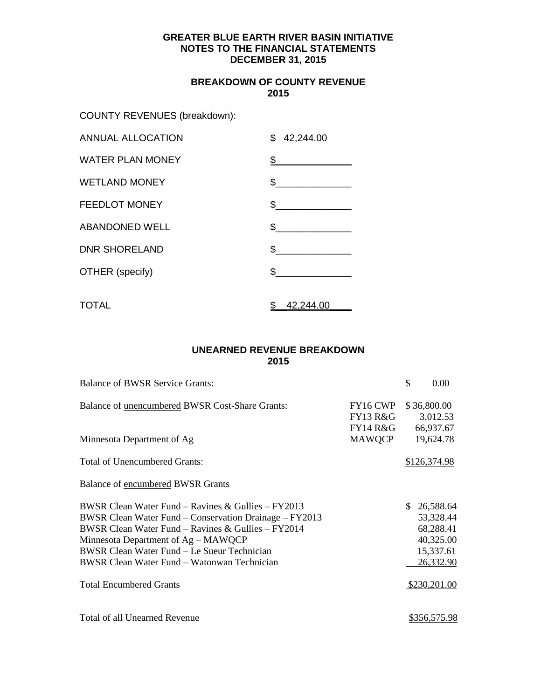# **BREAKDOWN OF COUNTY REVENUE 2015**

COUNTY REVENUES (breakdown):

| <b>ANNUAL ALLOCATION</b> | $\mathbb{S}$<br>42,244.00 |
|--------------------------|---------------------------|
| <b>WATER PLAN MONEY</b>  | $\frac{1}{2}$             |
| <b>WETLAND MONEY</b>     | $\frac{1}{2}$             |
| <b>FEEDLOT MONEY</b>     | \$                        |
| <b>ABANDONED WELL</b>    | $\mathbb S$               |
| <b>DNR SHORELAND</b>     | $\frac{1}{\sqrt{2}}$      |
| OTHER (specify)          | \$                        |
| <b>TOTAL</b>             | \$<br>42,244.00           |

# **UNEARNED REVENUE BREAKDOWN 2015**

| <b>Balance of BWSR Service Grants:</b>                                                                                                                                                                                                                                                                  |                                             | \$<br>0.00                                                                 |
|---------------------------------------------------------------------------------------------------------------------------------------------------------------------------------------------------------------------------------------------------------------------------------------------------------|---------------------------------------------|----------------------------------------------------------------------------|
| Balance of unencumbered BWSR Cost-Share Grants:                                                                                                                                                                                                                                                         | FY16 CWP<br><b>FY13 R&amp;G</b><br>FY14 R&G | \$36,800.00<br>3,012.53<br>66,937.67                                       |
| Minnesota Department of Ag                                                                                                                                                                                                                                                                              | MAWQCP                                      | 19,624.78                                                                  |
| <b>Total of Unencumbered Grants:</b>                                                                                                                                                                                                                                                                    |                                             | \$126,374.98                                                               |
| Balance of encumbered BWSR Grants                                                                                                                                                                                                                                                                       |                                             |                                                                            |
| BWSR Clean Water Fund – Ravines & Gullies – FY2013<br>BWSR Clean Water Fund – Conservation Drainage – FY2013<br>BWSR Clean Water Fund – Ravines & Gullies – FY2014<br>Minnesota Department of Ag – MAWQCP<br>BWSR Clean Water Fund - Le Sueur Technician<br>BWSR Clean Water Fund – Watonwan Technician |                                             | 26,588.64<br>53,328.44<br>68,288.41<br>40,325.00<br>15,337.61<br>26,332.90 |
| <b>Total Encumbered Grants</b>                                                                                                                                                                                                                                                                          |                                             | \$230,201.00                                                               |
| Total of all Unearned Revenue                                                                                                                                                                                                                                                                           |                                             | \$356,575.98                                                               |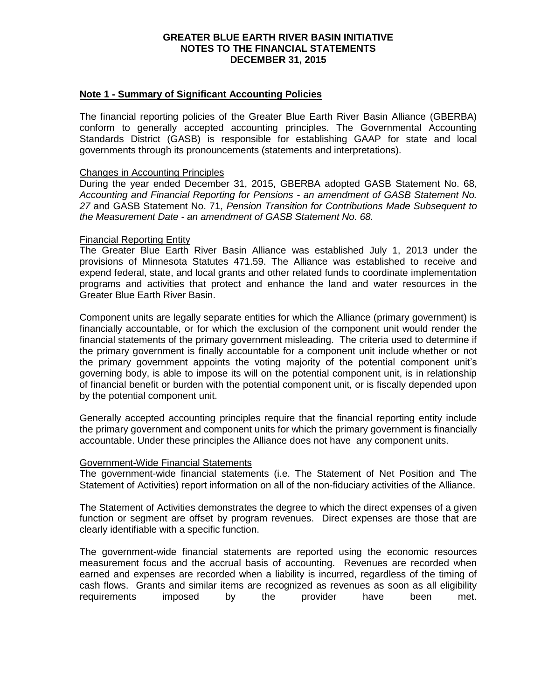# **Note 1 - Summary of Significant Accounting Policies**

The financial reporting policies of the Greater Blue Earth River Basin Alliance (GBERBA) conform to generally accepted accounting principles. The Governmental Accounting Standards District (GASB) is responsible for establishing GAAP for state and local governments through its pronouncements (statements and interpretations).

### Changes in Accounting Principles

During the year ended December 31, 2015, GBERBA adopted GASB Statement No. 68, *Accounting and Financial Reporting for Pensions - an amendment of GASB Statement No. 27* and GASB Statement No. 71, *Pension Transition for Contributions Made Subsequent to the Measurement Date - an amendment of GASB Statement No. 68.*

### Financial Reporting Entity

The Greater Blue Earth River Basin Alliance was established July 1, 2013 under the provisions of Minnesota Statutes 471.59. The Alliance was established to receive and expend federal, state, and local grants and other related funds to coordinate implementation programs and activities that protect and enhance the land and water resources in the Greater Blue Earth River Basin.

Component units are legally separate entities for which the Alliance (primary government) is financially accountable, or for which the exclusion of the component unit would render the financial statements of the primary government misleading. The criteria used to determine if the primary government is finally accountable for a component unit include whether or not the primary government appoints the voting majority of the potential component unit's governing body, is able to impose its will on the potential component unit, is in relationship of financial benefit or burden with the potential component unit, or is fiscally depended upon by the potential component unit.

Generally accepted accounting principles require that the financial reporting entity include the primary government and component units for which the primary government is financially accountable. Under these principles the Alliance does not have any component units.

# Government-Wide Financial Statements

The government-wide financial statements (i.e. The Statement of Net Position and The Statement of Activities) report information on all of the non-fiduciary activities of the Alliance.

The Statement of Activities demonstrates the degree to which the direct expenses of a given function or segment are offset by program revenues. Direct expenses are those that are clearly identifiable with a specific function.

The government-wide financial statements are reported using the economic resources measurement focus and the accrual basis of accounting. Revenues are recorded when earned and expenses are recorded when a liability is incurred, regardless of the timing of cash flows. Grants and similar items are recognized as revenues as soon as all eligibility requirements imposed by the provider have been met.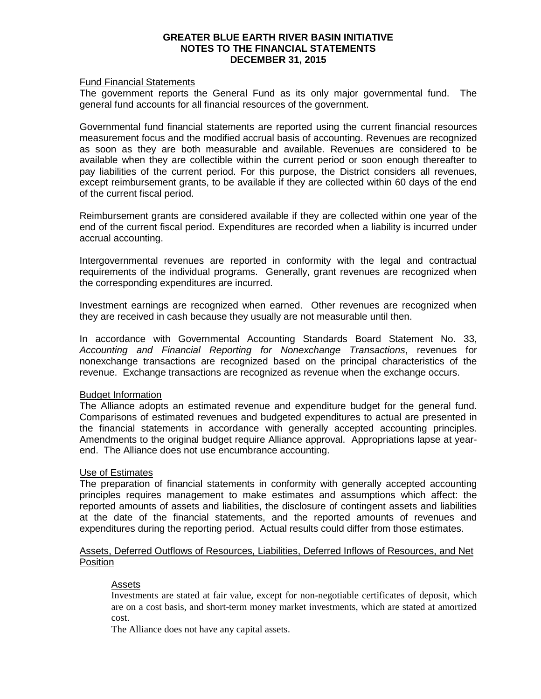# Fund Financial Statements

The government reports the General Fund as its only major governmental fund. The general fund accounts for all financial resources of the government.

Governmental fund financial statements are reported using the current financial resources measurement focus and the modified accrual basis of accounting. Revenues are recognized as soon as they are both measurable and available. Revenues are considered to be available when they are collectible within the current period or soon enough thereafter to pay liabilities of the current period. For this purpose, the District considers all revenues, except reimbursement grants, to be available if they are collected within 60 days of the end of the current fiscal period.

Reimbursement grants are considered available if they are collected within one year of the end of the current fiscal period. Expenditures are recorded when a liability is incurred under accrual accounting.

Intergovernmental revenues are reported in conformity with the legal and contractual requirements of the individual programs. Generally, grant revenues are recognized when the corresponding expenditures are incurred.

Investment earnings are recognized when earned. Other revenues are recognized when they are received in cash because they usually are not measurable until then.

In accordance with Governmental Accounting Standards Board Statement No. 33, *Accounting and Financial Reporting for Nonexchange Transactions*, revenues for nonexchange transactions are recognized based on the principal characteristics of the revenue. Exchange transactions are recognized as revenue when the exchange occurs.

# Budget Information

The Alliance adopts an estimated revenue and expenditure budget for the general fund. Comparisons of estimated revenues and budgeted expenditures to actual are presented in the financial statements in accordance with generally accepted accounting principles. Amendments to the original budget require Alliance approval. Appropriations lapse at yearend. The Alliance does not use encumbrance accounting.

# Use of Estimates

The preparation of financial statements in conformity with generally accepted accounting principles requires management to make estimates and assumptions which affect: the reported amounts of assets and liabilities, the disclosure of contingent assets and liabilities at the date of the financial statements, and the reported amounts of revenues and expenditures during the reporting period. Actual results could differ from those estimates.

# Assets, Deferred Outflows of Resources, Liabilities, Deferred Inflows of Resources, and Net **Position**

# Assets

Investments are stated at fair value, except for non-negotiable certificates of deposit, which are on a cost basis, and short-term money market investments, which are stated at amortized cost.

The Alliance does not have any capital assets.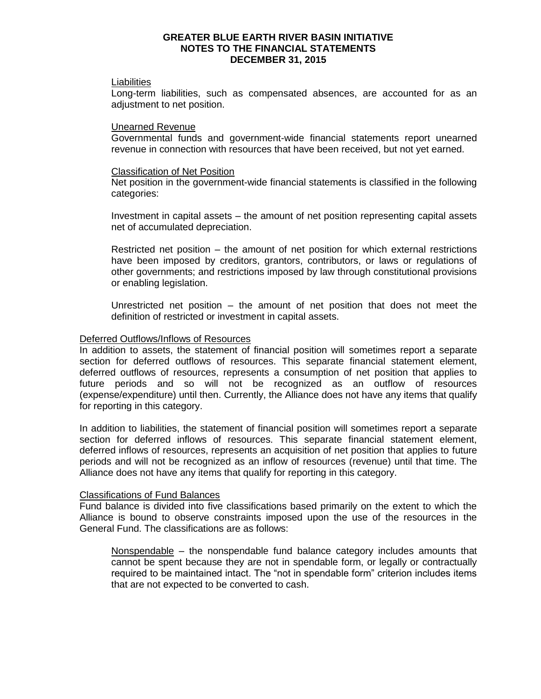#### Liabilities

Long-term liabilities, such as compensated absences, are accounted for as an adjustment to net position.

### Unearned Revenue

Governmental funds and government-wide financial statements report unearned revenue in connection with resources that have been received, but not yet earned.

### Classification of Net Position

Net position in the government-wide financial statements is classified in the following categories:

Investment in capital assets – the amount of net position representing capital assets net of accumulated depreciation.

Restricted net position – the amount of net position for which external restrictions have been imposed by creditors, grantors, contributors, or laws or regulations of other governments; and restrictions imposed by law through constitutional provisions or enabling legislation.

Unrestricted net position – the amount of net position that does not meet the definition of restricted or investment in capital assets.

### Deferred Outflows/Inflows of Resources

In addition to assets, the statement of financial position will sometimes report a separate section for deferred outflows of resources. This separate financial statement element, deferred outflows of resources, represents a consumption of net position that applies to future periods and so will not be recognized as an outflow of resources (expense/expenditure) until then. Currently, the Alliance does not have any items that qualify for reporting in this category.

In addition to liabilities, the statement of financial position will sometimes report a separate section for deferred inflows of resources. This separate financial statement element, deferred inflows of resources, represents an acquisition of net position that applies to future periods and will not be recognized as an inflow of resources (revenue) until that time. The Alliance does not have any items that qualify for reporting in this category.

### Classifications of Fund Balances

Fund balance is divided into five classifications based primarily on the extent to which the Alliance is bound to observe constraints imposed upon the use of the resources in the General Fund. The classifications are as follows:

Nonspendable – the nonspendable fund balance category includes amounts that cannot be spent because they are not in spendable form, or legally or contractually required to be maintained intact. The "not in spendable form" criterion includes items that are not expected to be converted to cash.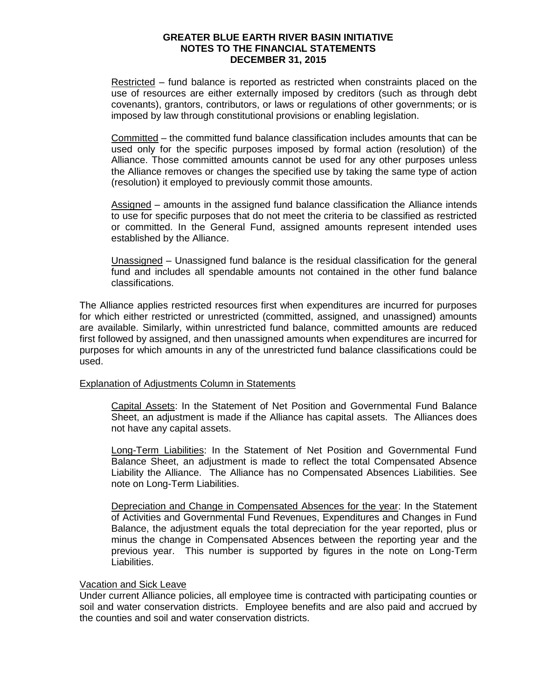Restricted – fund balance is reported as restricted when constraints placed on the use of resources are either externally imposed by creditors (such as through debt covenants), grantors, contributors, or laws or regulations of other governments; or is imposed by law through constitutional provisions or enabling legislation.

Committed – the committed fund balance classification includes amounts that can be used only for the specific purposes imposed by formal action (resolution) of the Alliance. Those committed amounts cannot be used for any other purposes unless the Alliance removes or changes the specified use by taking the same type of action (resolution) it employed to previously commit those amounts.

Assigned – amounts in the assigned fund balance classification the Alliance intends to use for specific purposes that do not meet the criteria to be classified as restricted or committed. In the General Fund, assigned amounts represent intended uses established by the Alliance.

Unassigned – Unassigned fund balance is the residual classification for the general fund and includes all spendable amounts not contained in the other fund balance classifications.

The Alliance applies restricted resources first when expenditures are incurred for purposes for which either restricted or unrestricted (committed, assigned, and unassigned) amounts are available. Similarly, within unrestricted fund balance, committed amounts are reduced first followed by assigned, and then unassigned amounts when expenditures are incurred for purposes for which amounts in any of the unrestricted fund balance classifications could be used.

# Explanation of Adjustments Column in Statements

Capital Assets: In the Statement of Net Position and Governmental Fund Balance Sheet, an adjustment is made if the Alliance has capital assets. The Alliances does not have any capital assets.

Long-Term Liabilities: In the Statement of Net Position and Governmental Fund Balance Sheet, an adjustment is made to reflect the total Compensated Absence Liability the Alliance. The Alliance has no Compensated Absences Liabilities. See note on Long-Term Liabilities.

Depreciation and Change in Compensated Absences for the year: In the Statement of Activities and Governmental Fund Revenues, Expenditures and Changes in Fund Balance, the adjustment equals the total depreciation for the year reported, plus or minus the change in Compensated Absences between the reporting year and the previous year. This number is supported by figures in the note on Long-Term Liabilities.

# Vacation and Sick Leave

Under current Alliance policies, all employee time is contracted with participating counties or soil and water conservation districts. Employee benefits and are also paid and accrued by the counties and soil and water conservation districts.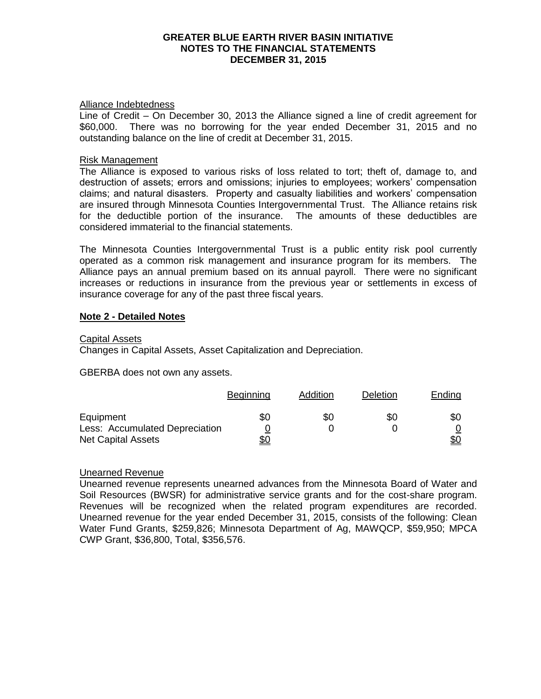#### Alliance Indebtedness

Line of Credit – On December 30, 2013 the Alliance signed a line of credit agreement for \$60,000. There was no borrowing for the year ended December 31, 2015 and no outstanding balance on the line of credit at December 31, 2015.

# Risk Management

The Alliance is exposed to various risks of loss related to tort; theft of, damage to, and destruction of assets; errors and omissions; injuries to employees; workers' compensation claims; and natural disasters. Property and casualty liabilities and workers' compensation are insured through Minnesota Counties Intergovernmental Trust. The Alliance retains risk for the deductible portion of the insurance. The amounts of these deductibles are considered immaterial to the financial statements.

The Minnesota Counties Intergovernmental Trust is a public entity risk pool currently operated as a common risk management and insurance program for its members. The Alliance pays an annual premium based on its annual payroll. There were no significant increases or reductions in insurance from the previous year or settlements in excess of insurance coverage for any of the past three fiscal years.

# **Note 2 - Detailed Notes**

### Capital Assets

Changes in Capital Assets, Asset Capitalization and Depreciation.

GBERBA does not own any assets.

|                                | <b>Beginning</b> | Addition | Deletion | Ending |
|--------------------------------|------------------|----------|----------|--------|
| Equipment                      | \$0              | \$0      | \$0      | \$0    |
| Less: Accumulated Depreciation |                  |          |          |        |
| <b>Net Capital Assets</b>      |                  |          |          |        |

# Unearned Revenue

Unearned revenue represents unearned advances from the Minnesota Board of Water and Soil Resources (BWSR) for administrative service grants and for the cost-share program. Revenues will be recognized when the related program expenditures are recorded. Unearned revenue for the year ended December 31, 2015, consists of the following: Clean Water Fund Grants, \$259,826; Minnesota Department of Ag, MAWQCP, \$59,950; MPCA CWP Grant, \$36,800, Total, \$356,576.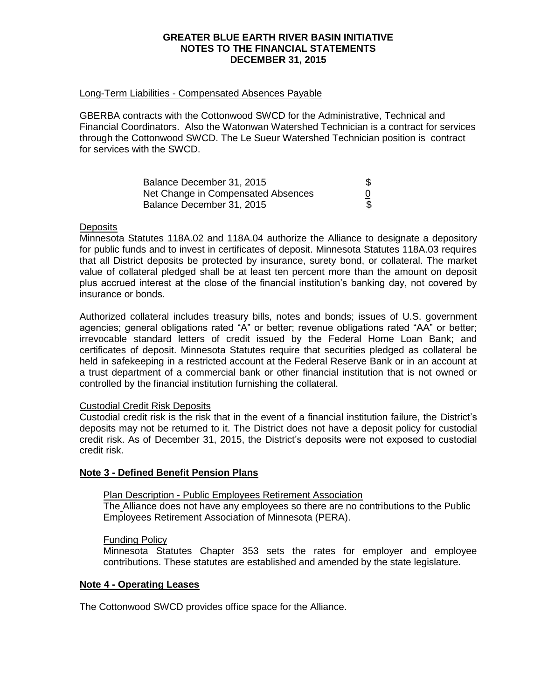### Long-Term Liabilities - Compensated Absences Payable

GBERBA contracts with the Cottonwood SWCD for the Administrative, Technical and Financial Coordinators. Also the Watonwan Watershed Technician is a contract for services through the Cottonwood SWCD. The Le Sueur Watershed Technician position is contract for services with the SWCD.

| Balance December 31, 2015          |  |
|------------------------------------|--|
| Net Change in Compensated Absences |  |
| Balance December 31, 2015          |  |

# **Deposits**

Minnesota Statutes 118A.02 and 118A.04 authorize the Alliance to designate a depository for public funds and to invest in certificates of deposit. Minnesota Statutes 118A.03 requires that all District deposits be protected by insurance, surety bond, or collateral. The market value of collateral pledged shall be at least ten percent more than the amount on deposit plus accrued interest at the close of the financial institution's banking day, not covered by insurance or bonds.

Authorized collateral includes treasury bills, notes and bonds; issues of U.S. government agencies; general obligations rated "A" or better; revenue obligations rated "AA" or better; irrevocable standard letters of credit issued by the Federal Home Loan Bank; and certificates of deposit. Minnesota Statutes require that securities pledged as collateral be held in safekeeping in a restricted account at the Federal Reserve Bank or in an account at a trust department of a commercial bank or other financial institution that is not owned or controlled by the financial institution furnishing the collateral.

# Custodial Credit Risk Deposits

Custodial credit risk is the risk that in the event of a financial institution failure, the District's deposits may not be returned to it. The District does not have a deposit policy for custodial credit risk. As of December 31, 2015, the District's deposits were not exposed to custodial credit risk.

# **Note 3 - Defined Benefit Pension Plans**

# Plan Description - Public Employees Retirement Association

The Alliance does not have any employees so there are no contributions to the Public Employees Retirement Association of Minnesota (PERA).

#### Funding Policy

Minnesota Statutes Chapter 353 sets the rates for employer and employee contributions. These statutes are established and amended by the state legislature.

# **Note 4 - Operating Leases**

The Cottonwood SWCD provides office space for the Alliance.